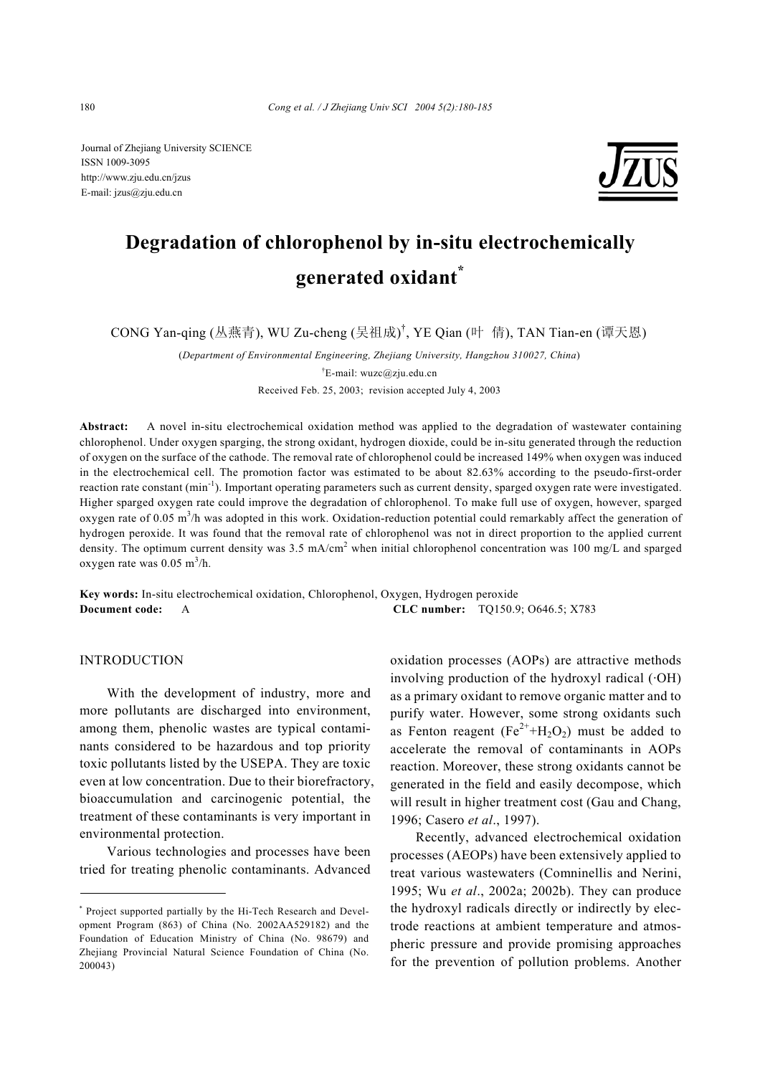Journal of Zhejiang University SCIENCE ISSN 1009-3095 http://www.zju.edu.cn/jzus E-mail: jzus@zju.edu.cn



# **Degradation of chlorophenol by in-situ electrochemically generated oxidant\***

CONG Yan-qing (丛燕青), WU Zu-cheng (吴祖成)<sup>†</sup>, YE Qian (叶 倩), TAN Tian-en (谭天恩)

(*Department of Environmental Engineering, Zhejiang University, Hangzhou 310027, China*)

<sup>†</sup>E-mail: wuzc@zju.edu.cn

Received Feb. 25, 2003; revision accepted July 4, 2003

**Abstract:** A novel in-situ electrochemical oxidation method was applied to the degradation of wastewater containing chlorophenol. Under oxygen sparging, the strong oxidant, hydrogen dioxide, could be in-situ generated through the reduction of oxygen on the surface of the cathode. The removal rate of chlorophenol could be increased 149% when oxygen was induced in the electrochemical cell. The promotion factor was estimated to be about 82.63% according to the pseudo-first-order reaction rate constant  $(\min^{-1})$ . Important operating parameters such as current density, sparged oxygen rate were investigated. Higher sparged oxygen rate could improve the degradation of chlorophenol. To make full use of oxygen, however, sparged oxygen rate of 0.05 m<sup>3</sup>/h was adopted in this work. Oxidation-reduction potential could remarkably affect the generation of hydrogen peroxide. It was found that the removal rate of chlorophenol was not in direct proportion to the applied current density. The optimum current density was 3.5 mA/cm<sup>2</sup> when initial chlorophenol concentration was 100 mg/L and sparged oxygen rate was  $0.05 \text{ m}^3/\text{h}$ .

**Key words:** In-situ electrochemical oxidation, Chlorophenol, Oxygen, Hydrogen peroxide **Document code:** A **CLC number:** TQ150.9; O646.5; X783

# INTRODUCTION

With the development of industry, more and more pollutants are discharged into environment, among them, phenolic wastes are typical contaminants considered to be hazardous and top priority toxic pollutants listed by the USEPA. They are toxic even at low concentration. Due to their biorefractory, bioaccumulation and carcinogenic potential, the treatment of these contaminants is very important in environmental protection.

Various technologies and processes have been tried for treating phenolic contaminants. Advanced oxidation processes (AOPs) are attractive methods involving production of the hydroxyl radical (·OH) as a primary oxidant to remove organic matter and to purify water. However, some strong oxidants such as Fenton reagent ( $Fe^{2+}+H_2O_2$ ) must be added to accelerate the removal of contaminants in AOPs reaction. Moreover, these strong oxidants cannot be generated in the field and easily decompose, which will result in higher treatment cost (Gau and Chang, 1996; Casero *et al*., 1997).

Recently, advanced electrochemical oxidation processes (AEOPs) have been extensively applied to treat various wastewaters (Comninellis and Nerini, 1995; Wu *et al*., 2002a; 2002b). They can produce the hydroxyl radicals directly or indirectly by electrode reactions at ambient temperature and atmospheric pressure and provide promising approaches for the prevention of pollution problems. Another

<sup>\*</sup> Project supported partially by the Hi-Tech Research and Development Program (863) of China (No. 2002AA529182) and the Foundation of Education Ministry of China (No. 98679) and Zhejiang Provincial Natural Science Foundation of China (No. 200043)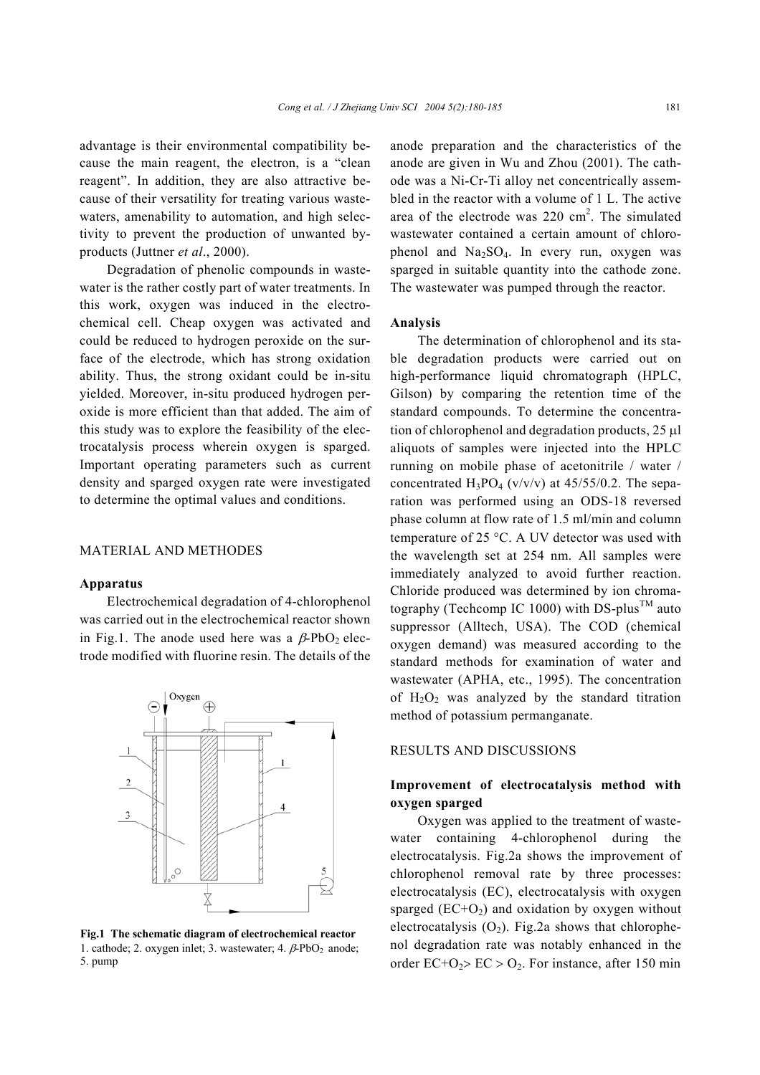advantage is their environmental compatibility because the main reagent, the electron, is a "clean reagent". In addition, they are also attractive because of their versatility for treating various wastewaters, amenability to automation, and high selectivity to prevent the production of unwanted byproducts (Juttner *et al*., 2000).

Degradation of phenolic compounds in wastewater is the rather costly part of water treatments. In this work, oxygen was induced in the electrochemical cell. Cheap oxygen was activated and could be reduced to hydrogen peroxide on the surface of the electrode, which has strong oxidation ability. Thus, the strong oxidant could be in-situ yielded. Moreover, in-situ produced hydrogen peroxide is more efficient than that added. The aim of this study was to explore the feasibility of the electrocatalysis process wherein oxygen is sparged. Important operating parameters such as current density and sparged oxygen rate were investigated to determine the optimal values and conditions.

# MATERIAL AND METHODES

#### **Apparatus**

Electrochemical degradation of 4-chlorophenol was carried out in the electrochemical reactor shown in Fig.1. The anode used here was a  $\beta$ -PbO<sub>2</sub> electrode modified with fluorine resin. The details of the



**Fig.1 The schematic diagram of electrochemical reactor**  1. cathode; 2. oxygen inlet; 3. wastewater; 4.  $\beta$ -PbO<sub>2</sub> anode; 5. pump

anode preparation and the characteristics of the anode are given in Wu and Zhou (2001). The cathode was a Ni-Cr-Ti alloy net concentrically assembled in the reactor with a volume of 1 L. The active area of the electrode was  $220 \text{ cm}^2$ . The simulated wastewater contained a certain amount of chlorophenol and  $Na<sub>2</sub>SO<sub>4</sub>$ . In every run, oxygen was sparged in suitable quantity into the cathode zone. The wastewater was pumped through the reactor.

#### **Analysis**

The determination of chlorophenol and its stable degradation products were carried out on high-performance liquid chromatograph (HPLC, Gilson) by comparing the retention time of the standard compounds. To determine the concentration of chlorophenol and degradation products, 25 µl aliquots of samples were injected into the HPLC running on mobile phase of acetonitrile / water / concentrated  $H_3PO_4$  (v/v/v) at 45/55/0.2. The separation was performed using an ODS-18 reversed phase column at flow rate of 1.5 ml/min and column temperature of 25 °C. A UV detector was used with the wavelength set at 254 nm. All samples were immediately analyzed to avoid further reaction. Chloride produced was determined by ion chromatography (Techcomp IC 1000) with DS-plus<sup>TM</sup> auto suppressor (Alltech, USA). The COD (chemical oxygen demand) was measured according to the standard methods for examination of water and wastewater (APHA, etc., 1995). The concentration of  $H_2O_2$  was analyzed by the standard titration method of potassium permanganate.

# RESULTS AND DISCUSSIONS

# **Improvement of electrocatalysis method with oxygen sparged**

Oxygen was applied to the treatment of wastewater containing 4-chlorophenol during the electrocatalysis. Fig.2a shows the improvement of chlorophenol removal rate by three processes: electrocatalysis (EC), electrocatalysis with oxygen sparged  $(EC+O<sub>2</sub>)$  and oxidation by oxygen without electrocatalysis  $(O_2)$ . Fig.2a shows that chlorophenol degradation rate was notably enhanced in the order  $EC+O_2$ >  $EC > O_2$ . For instance, after 150 min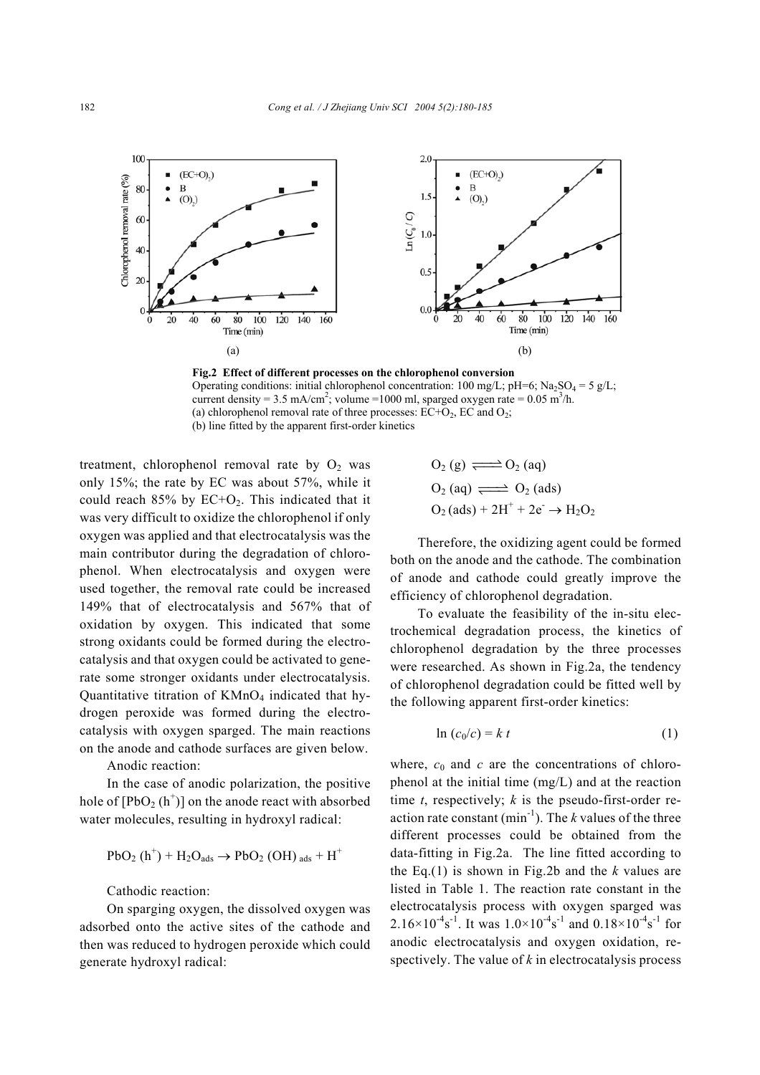

**Fig.2 Effect of different processes on the chlorophenol conversion**  Operating conditions: initial chlorophenol concentration: 100 mg/L; pH=6; Na<sub>2</sub>SO<sub>4</sub> = 5 g/L; current density = 3.5 mA/cm<sup>2</sup>; volume = 1000 ml, sparged oxygen rate =  $0.05 \text{ m}^3/\text{h}$ . (a) chlorophenol removal rate of three processes:  $EC+O_2$ ,  $EC$  and  $O_2$ ; (b) line fitted by the apparent first-order kinetics

treatment, chlorophenol removal rate by  $O_2$  was only 15%; the rate by EC was about 57%, while it could reach  $85\%$  by  $EC+O_2$ . This indicated that it was very difficult to oxidize the chlorophenol if only oxygen was applied and that electrocatalysis was the main contributor during the degradation of chlorophenol. When electrocatalysis and oxygen were used together, the removal rate could be increased 149% that of electrocatalysis and 567% that of oxidation by oxygen. This indicated that some strong oxidants could be formed during the electrocatalysis and that oxygen could be activated to generate some stronger oxidants under electrocatalysis. Quantitative titration of  $KMnO<sub>4</sub>$  indicated that hydrogen peroxide was formed during the electrocatalysis with oxygen sparged. The main reactions on the anode and cathode surfaces are given below.

Anodic reaction:

In the case of anodic polarization, the positive hole of  $[PbO_2(h^+)]$  on the anode react with absorbed water molecules, resulting in hydroxyl radical:

$$
PbO_2(h^+) + H_2O_{ads} \rightarrow PbO_2(OH)_{ads} + H^+
$$

Cathodic reaction:

On sparging oxygen, the dissolved oxygen was adsorbed onto the active sites of the cathode and then was reduced to hydrogen peroxide which could generate hydroxyl radical:

$$
O_2(g) \xrightarrow{ } O_2(aq)
$$
  
\n
$$
O_2(aq) \xrightarrow{ } O_2(ads)
$$
  
\n
$$
O_2(ads) + 2H^+ + 2e^- \rightarrow H_2O_2
$$

Therefore, the oxidizing agent could be formed both on the anode and the cathode. The combination of anode and cathode could greatly improve the efficiency of chlorophenol degradation.

To evaluate the feasibility of the in-situ electrochemical degradation process, the kinetics of chlorophenol degradation by the three processes were researched. As shown in Fig.2a, the tendency of chlorophenol degradation could be fitted well by the following apparent first-order kinetics:

$$
\ln\left(c_0/c\right) = k t \tag{1}
$$

where,  $c_0$  and  $c$  are the concentrations of chlorophenol at the initial time (mg/L) and at the reaction time *t*, respectively; *k* is the pseudo-first-order reaction rate constant  $(\text{min}^{-1})$ . The *k* values of the three different processes could be obtained from the data-fitting in Fig.2a. The line fitted according to the Eq.(1) is shown in Fig.2b and the *k* values are listed in Table 1. The reaction rate constant in the electrocatalysis process with oxygen sparged was  $2.16 \times 10^{-4}$ s<sup>-1</sup>. It was  $1.0 \times 10^{-4}$ s<sup>-1</sup> and  $0.18 \times 10^{-4}$ s<sup>-1</sup> for anodic electrocatalysis and oxygen oxidation, respectively. The value of *k* in electrocatalysis process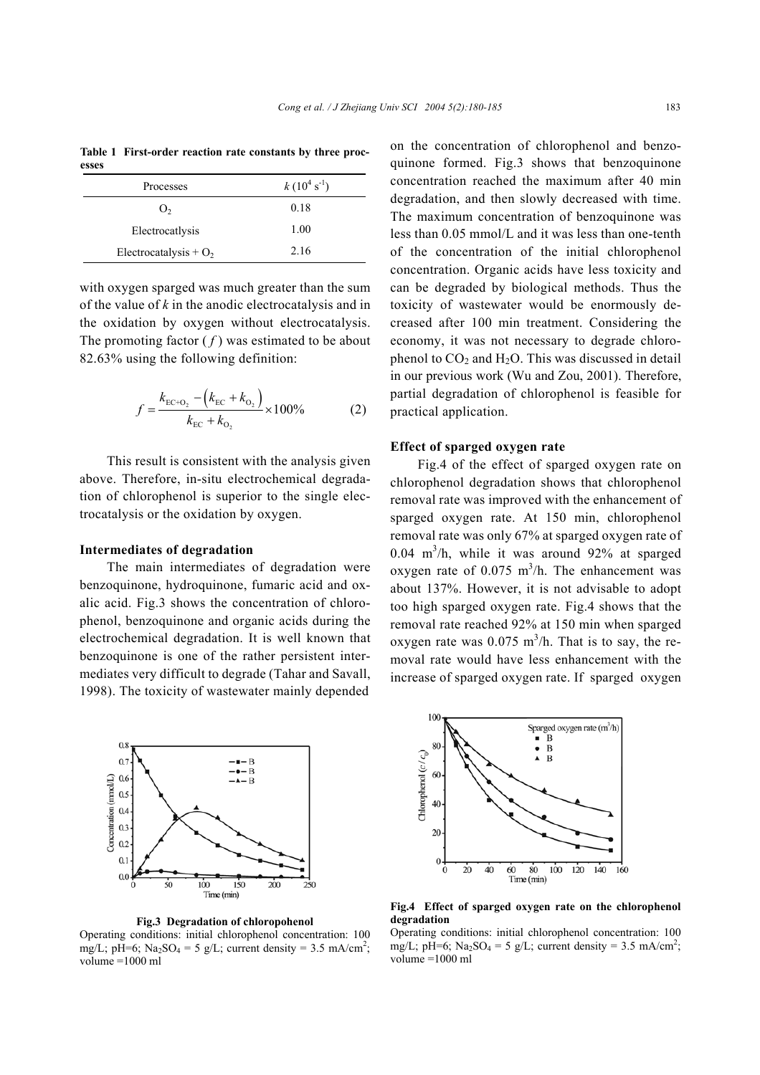**Table 1 First-order reaction rate constants by three processes** 

| Processes                | $k(10^4 \text{ s}^{-1})$ |
|--------------------------|--------------------------|
| O <sub>2</sub>           | 0.18                     |
| Electrocatlysis          | 1.00                     |
| Electrocatalysis + $O_2$ | 2.16                     |

with oxygen sparged was much greater than the sum of the value of *k* in the anodic electrocatalysis and in the oxidation by oxygen without electrocatalysis. The promoting factor  $(f)$  was estimated to be about 82.63% using the following definition:

$$
f = \frac{k_{\text{EC}+O_2} - (k_{\text{EC}} + k_{O_2})}{k_{\text{EC}} + k_{O_2}} \times 100\% \tag{2}
$$

This result is consistent with the analysis given above. Therefore, in-situ electrochemical degradation of chlorophenol is superior to the single electrocatalysis or the oxidation by oxygen.

# **Intermediates of degradation**

The main intermediates of degradation were benzoquinone, hydroquinone, fumaric acid and oxalic acid. Fig.3 shows the concentration of chlorophenol, benzoquinone and organic acids during the electrochemical degradation. It is well known that benzoquinone is one of the rather persistent intermediates very difficult to degrade (Tahar and Savall, 1998). The toxicity of wastewater mainly depended



**Fig.3 Degradation of chloropohenol** 

Operating conditions: initial chlorophenol concentration: 100 mg/L; pH=6; Na<sub>2</sub>SO<sub>4</sub> = 5 g/L; current density = 3.5 mA/cm<sup>2</sup>; volume  $=1000$  ml

on the concentration of chlorophenol and benzoquinone formed. Fig.3 shows that benzoquinone concentration reached the maximum after 40 min degradation, and then slowly decreased with time. The maximum concentration of benzoquinone was less than 0.05 mmol/L and it was less than one-tenth of the concentration of the initial chlorophenol concentration. Organic acids have less toxicity and can be degraded by biological methods. Thus the toxicity of wastewater would be enormously decreased after 100 min treatment. Considering the economy, it was not necessary to degrade chlorophenol to  $CO<sub>2</sub>$  and  $H<sub>2</sub>O$ . This was discussed in detail in our previous work (Wu and Zou, 2001). Therefore, partial degradation of chlorophenol is feasible for practical application.

### **Effect of sparged oxygen rate**

Fig.4 of the effect of sparged oxygen rate on chlorophenol degradation shows that chlorophenol removal rate was improved with the enhancement of sparged oxygen rate. At 150 min, chlorophenol removal rate was only 67% at sparged oxygen rate of  $0.04$  m<sup>3</sup>/h, while it was around 92% at sparged oxygen rate of  $0.075 \text{ m}^3/\text{h}$ . The enhancement was about 137%. However, it is not advisable to adopt too high sparged oxygen rate. Fig.4 shows that the removal rate reached 92% at 150 min when sparged oxygen rate was  $0.075 \text{ m}^3/\text{h}$ . That is to say, the removal rate would have less enhancement with the increase of sparged oxygen rate. If sparged oxygen



**Fig.4 Effect of sparged oxygen rate on the chlorophenol degradation** 

Operating conditions: initial chlorophenol concentration: 100 mg/L; pH=6;  $\text{Na}_2\text{SO}_4 = 5$  g/L; current density = 3.5 mA/cm<sup>2</sup>; volume =1000 ml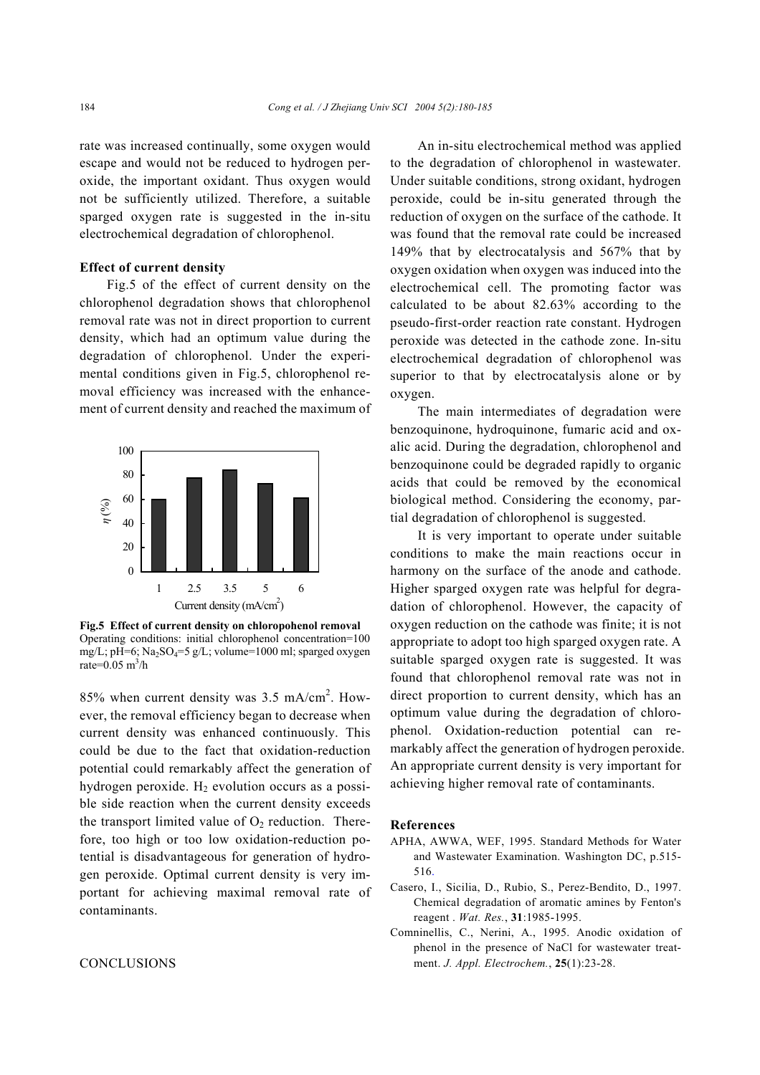rate was increased continually, some oxygen would escape and would not be reduced to hydrogen peroxide, the important oxidant. Thus oxygen would not be sufficiently utilized. Therefore, a suitable sparged oxygen rate is suggested in the in-situ electrochemical degradation of chlorophenol.

#### **Effect of current density**

Fig.5 of the effect of current density on the chlorophenol degradation shows that chlorophenol removal rate was not in direct proportion to current density, which had an optimum value during the degradation of chlorophenol. Under the experimental conditions given in Fig.5, chlorophenol removal efficiency was increased with the enhancement of current density and reached the maximum of



**Fig.5 Effect of current density on chloropohenol removal**  Operating conditions: initial chlorophenol concentration=100 mg/L; pH=6; Na<sub>2</sub>SO<sub>4</sub>=5 g/L; volume=1000 ml; sparged oxygen rate= $0.05 \text{ m}^3/\text{h}$ 

85% when current density was 3.5 mA/cm<sup>2</sup>. However, the removal efficiency began to decrease when current density was enhanced continuously. This could be due to the fact that oxidation-reduction potential could remarkably affect the generation of hydrogen peroxide.  $H_2$  evolution occurs as a possible side reaction when the current density exceeds the transport limited value of  $O_2$  reduction. Therefore, too high or too low oxidation-reduction potential is disadvantageous for generation of hydrogen peroxide. Optimal current density is very important for achieving maximal removal rate of contaminants.

## **CONCLUSIONS**

An in-situ electrochemical method was applied to the degradation of chlorophenol in wastewater. Under suitable conditions, strong oxidant, hydrogen peroxide, could be in-situ generated through the reduction of oxygen on the surface of the cathode. It was found that the removal rate could be increased 149% that by electrocatalysis and 567% that by oxygen oxidation when oxygen was induced into the electrochemical cell. The promoting factor was calculated to be about 82.63% according to the pseudo-first-order reaction rate constant. Hydrogen peroxide was detected in the cathode zone. In-situ electrochemical degradation of chlorophenol was superior to that by electrocatalysis alone or by oxygen.

The main intermediates of degradation were benzoquinone, hydroquinone, fumaric acid and oxalic acid. During the degradation, chlorophenol and benzoquinone could be degraded rapidly to organic acids that could be removed by the economical biological method. Considering the economy, partial degradation of chlorophenol is suggested.

It is very important to operate under suitable conditions to make the main reactions occur in harmony on the surface of the anode and cathode. Higher sparged oxygen rate was helpful for degradation of chlorophenol. However, the capacity of oxygen reduction on the cathode was finite; it is not appropriate to adopt too high sparged oxygen rate. A suitable sparged oxygen rate is suggested. It was found that chlorophenol removal rate was not in direct proportion to current density, which has an optimum value during the degradation of chlorophenol. Oxidation-reduction potential can remarkably affect the generation of hydrogen peroxide. An appropriate current density is very important for achieving higher removal rate of contaminants.

#### **References**

- APHA, AWWA, WEF, 1995. Standard Methods for Water and Wastewater Examination. Washington DC, p.515- 516.
- Casero, I., Sicilia, D., Rubio, S., Perez-Bendito, D., 1997. Chemical degradation of aromatic amines by Fenton's reagent . *Wat. Res.*, **31**:1985-1995.
- Comninellis, C., Nerini, A., 1995. Anodic oxidation of phenol in the presence of NaCl for wastewater treatment. *J. Appl. Electrochem.*, **25**(1):23-28.